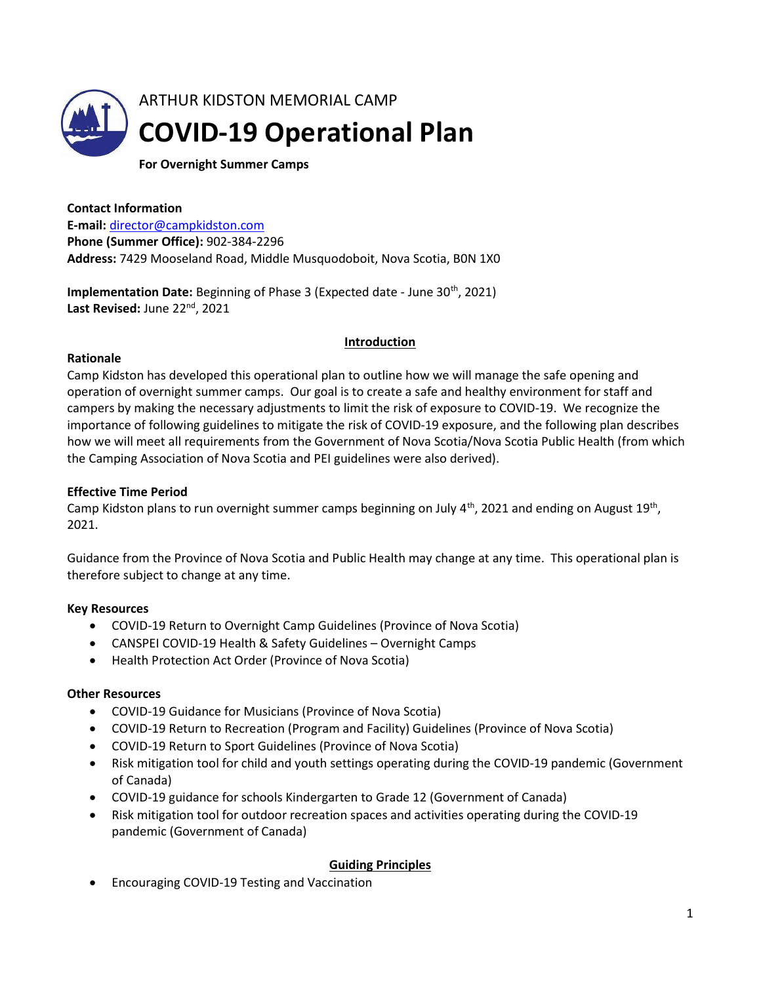

For Overnight Summer Camps

Contact Information

E-mail: director@campkidston.com Phone (Summer Office): 902-384-2296 Address: 7429 Mooseland Road, Middle Musquodoboit, Nova Scotia, B0N 1X0

Implementation Date: Beginning of Phase 3 (Expected date - June 30<sup>th</sup>, 2021) Last Revised: June 22<sup>nd</sup>, 2021

#### **Introduction**

#### Rationale

Camp Kidston has developed this operational plan to outline how we will manage the safe opening and operation of overnight summer camps. Our goal is to create a safe and healthy environment for staff and campers by making the necessary adjustments to limit the risk of exposure to COVID-19. We recognize the importance of following guidelines to mitigate the risk of COVID-19 exposure, and the following plan describes how we will meet all requirements from the Government of Nova Scotia/Nova Scotia Public Health (from which the Camping Association of Nova Scotia and PEI guidelines were also derived).

#### Effective Time Period

Camp Kidston plans to run overnight summer camps beginning on July  $4<sup>th</sup>$ , 2021 and ending on August 19<sup>th</sup>, 2021.

Guidance from the Province of Nova Scotia and Public Health may change at any time. This operational plan is therefore subject to change at any time.

#### Key Resources

- COVID-19 Return to Overnight Camp Guidelines (Province of Nova Scotia)
- CANSPEI COVID-19 Health & Safety Guidelines Overnight Camps
- Health Protection Act Order (Province of Nova Scotia)

#### Other Resources

- COVID-19 Guidance for Musicians (Province of Nova Scotia)
- COVID-19 Return to Recreation (Program and Facility) Guidelines (Province of Nova Scotia)
- COVID-19 Return to Sport Guidelines (Province of Nova Scotia)
- Risk mitigation tool for child and youth settings operating during the COVID-19 pandemic (Government of Canada)
- COVID-19 guidance for schools Kindergarten to Grade 12 (Government of Canada)
- Risk mitigation tool for outdoor recreation spaces and activities operating during the COVID-19 pandemic (Government of Canada)

#### Guiding Principles

Encouraging COVID-19 Testing and Vaccination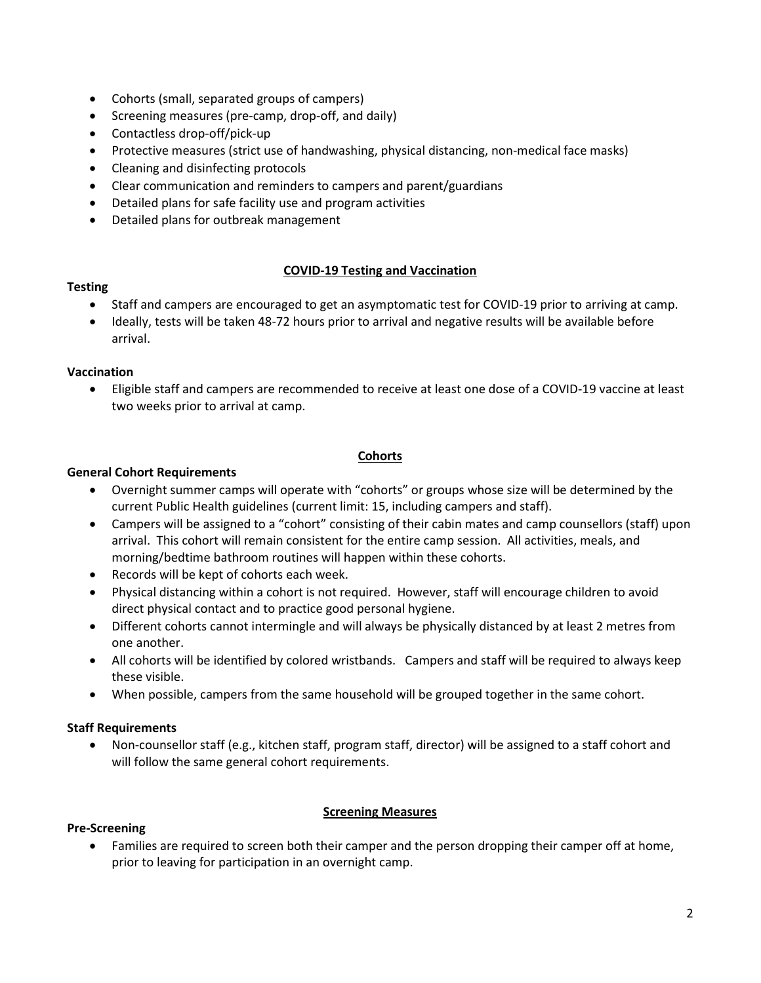- Cohorts (small, separated groups of campers)
- Screening measures (pre-camp, drop-off, and daily)
- Contactless drop-off/pick-up
- Protective measures (strict use of handwashing, physical distancing, non-medical face masks)
- Cleaning and disinfecting protocols
- Clear communication and reminders to campers and parent/guardians
- Detailed plans for safe facility use and program activities
- Detailed plans for outbreak management

### COVID-19 Testing and Vaccination

#### **Testing**

- Staff and campers are encouraged to get an asymptomatic test for COVID-19 prior to arriving at camp.
- Ideally, tests will be taken 48-72 hours prior to arrival and negative results will be available before arrival.

#### Vaccination

 Eligible staff and campers are recommended to receive at least one dose of a COVID-19 vaccine at least two weeks prior to arrival at camp.

#### **Cohorts**

### General Cohort Requirements

- Overnight summer camps will operate with "cohorts" or groups whose size will be determined by the current Public Health guidelines (current limit: 15, including campers and staff).
- Campers will be assigned to a "cohort" consisting of their cabin mates and camp counsellors (staff) upon arrival. This cohort will remain consistent for the entire camp session. All activities, meals, and morning/bedtime bathroom routines will happen within these cohorts.
- Records will be kept of cohorts each week.
- Physical distancing within a cohort is not required. However, staff will encourage children to avoid direct physical contact and to practice good personal hygiene.
- Different cohorts cannot intermingle and will always be physically distanced by at least 2 metres from one another.
- All cohorts will be identified by colored wristbands. Campers and staff will be required to always keep these visible.
- When possible, campers from the same household will be grouped together in the same cohort.

# Staff Requirements

 Non-counsellor staff (e.g., kitchen staff, program staff, director) will be assigned to a staff cohort and will follow the same general cohort requirements.

#### **Screening Measures**

#### Pre-Screening

 Families are required to screen both their camper and the person dropping their camper off at home, prior to leaving for participation in an overnight camp.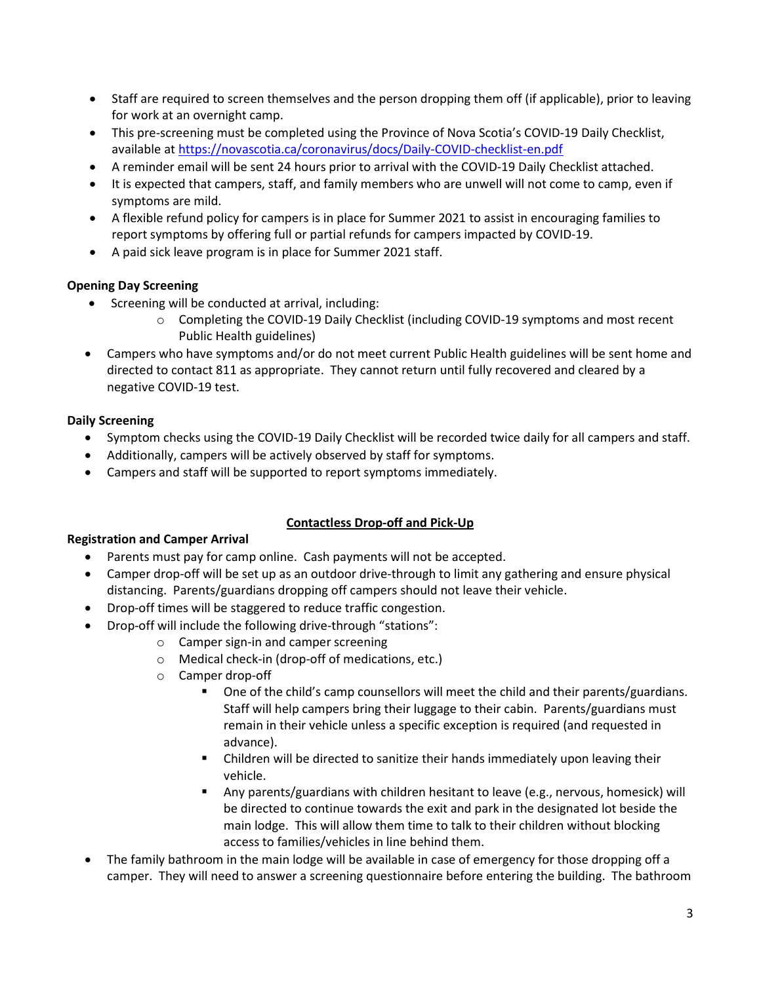- Staff are required to screen themselves and the person dropping them off (if applicable), prior to leaving for work at an overnight camp.
- This pre-screening must be completed using the Province of Nova Scotia's COVID-19 Daily Checklist, available at https://novascotia.ca/coronavirus/docs/Daily-COVID-checklist-en.pdf
- A reminder email will be sent 24 hours prior to arrival with the COVID-19 Daily Checklist attached.
- It is expected that campers, staff, and family members who are unwell will not come to camp, even if symptoms are mild.
- A flexible refund policy for campers is in place for Summer 2021 to assist in encouraging families to report symptoms by offering full or partial refunds for campers impacted by COVID-19.
- A paid sick leave program is in place for Summer 2021 staff.

# Opening Day Screening

- Screening will be conducted at arrival, including:
	- o Completing the COVID-19 Daily Checklist (including COVID-19 symptoms and most recent Public Health guidelines)
- Campers who have symptoms and/or do not meet current Public Health guidelines will be sent home and directed to contact 811 as appropriate. They cannot return until fully recovered and cleared by a negative COVID-19 test.

# Daily Screening

- Symptom checks using the COVID-19 Daily Checklist will be recorded twice daily for all campers and staff.
- Additionally, campers will be actively observed by staff for symptoms.
- Campers and staff will be supported to report symptoms immediately.

# Contactless Drop-off and Pick-Up

#### Registration and Camper Arrival

- Parents must pay for camp online. Cash payments will not be accepted.
- Camper drop-off will be set up as an outdoor drive-through to limit any gathering and ensure physical distancing. Parents/guardians dropping off campers should not leave their vehicle.
- Drop-off times will be staggered to reduce traffic congestion.
- Drop-off will include the following drive-through "stations":
	- o Camper sign-in and camper screening
	- o Medical check-in (drop-off of medications, etc.)
	- o Camper drop-off
		- One of the child's camp counsellors will meet the child and their parents/guardians. Staff will help campers bring their luggage to their cabin. Parents/guardians must remain in their vehicle unless a specific exception is required (and requested in advance).
		- Children will be directed to sanitize their hands immediately upon leaving their vehicle.
		- Any parents/guardians with children hesitant to leave (e.g., nervous, homesick) will be directed to continue towards the exit and park in the designated lot beside the main lodge. This will allow them time to talk to their children without blocking access to families/vehicles in line behind them.
- The family bathroom in the main lodge will be available in case of emergency for those dropping off a camper. They will need to answer a screening questionnaire before entering the building. The bathroom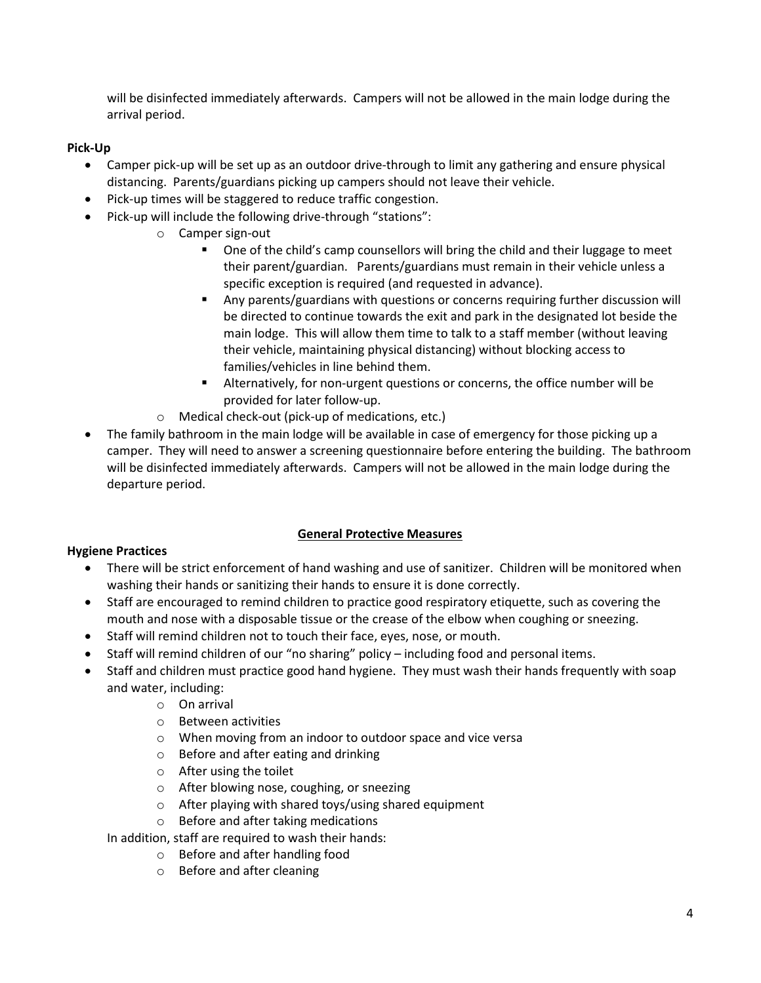will be disinfected immediately afterwards. Campers will not be allowed in the main lodge during the arrival period.

### Pick-Up

- Camper pick-up will be set up as an outdoor drive-through to limit any gathering and ensure physical distancing. Parents/guardians picking up campers should not leave their vehicle.
- Pick-up times will be staggered to reduce traffic congestion.
- Pick-up will include the following drive-through "stations":
	- o Camper sign-out
		- One of the child's camp counsellors will bring the child and their luggage to meet their parent/guardian. Parents/guardians must remain in their vehicle unless a specific exception is required (and requested in advance).
		- Any parents/guardians with questions or concerns requiring further discussion will be directed to continue towards the exit and park in the designated lot beside the main lodge. This will allow them time to talk to a staff member (without leaving their vehicle, maintaining physical distancing) without blocking access to families/vehicles in line behind them.
		- Alternatively, for non-urgent questions or concerns, the office number will be provided for later follow-up.
	- o Medical check-out (pick-up of medications, etc.)
- The family bathroom in the main lodge will be available in case of emergency for those picking up a camper. They will need to answer a screening questionnaire before entering the building. The bathroom will be disinfected immediately afterwards. Campers will not be allowed in the main lodge during the departure period.

# General Protective Measures

#### Hygiene Practices

- There will be strict enforcement of hand washing and use of sanitizer. Children will be monitored when washing their hands or sanitizing their hands to ensure it is done correctly.
- Staff are encouraged to remind children to practice good respiratory etiquette, such as covering the mouth and nose with a disposable tissue or the crease of the elbow when coughing or sneezing.
- Staff will remind children not to touch their face, eyes, nose, or mouth.
- Staff will remind children of our "no sharing" policy including food and personal items.
- Staff and children must practice good hand hygiene. They must wash their hands frequently with soap and water, including:
	- o On arrival
	- o Between activities
	- o When moving from an indoor to outdoor space and vice versa
	- o Before and after eating and drinking
	- o After using the toilet
	- o After blowing nose, coughing, or sneezing
	- o After playing with shared toys/using shared equipment
	- o Before and after taking medications

In addition, staff are required to wash their hands:

- o Before and after handling food
- o Before and after cleaning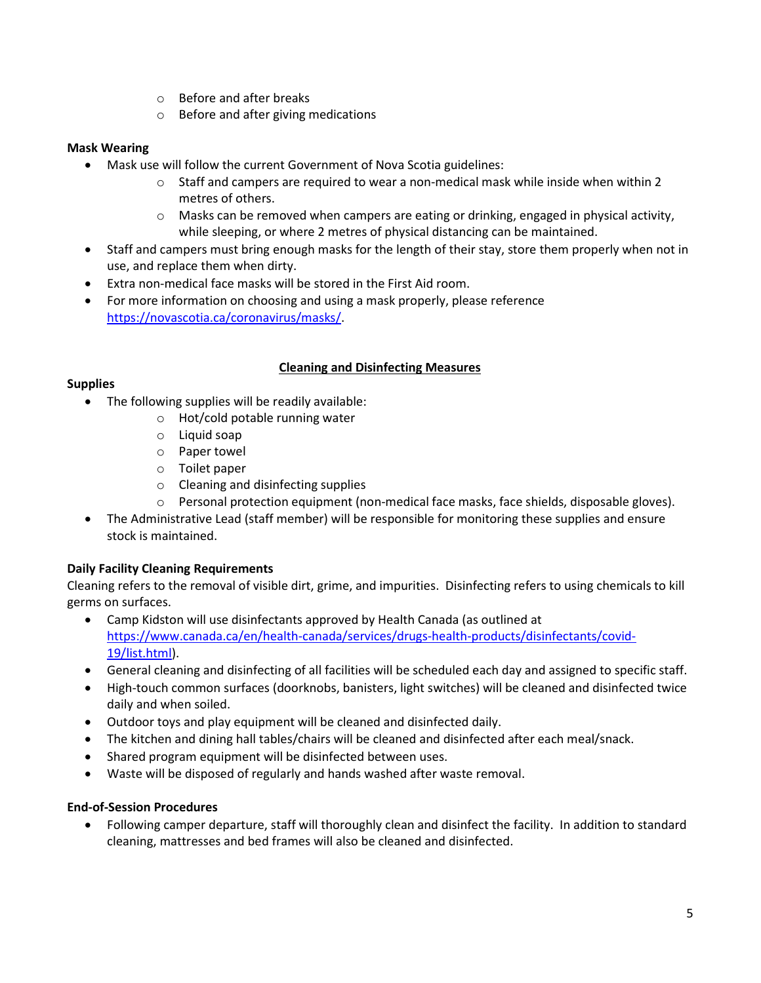- o Before and after breaks
- o Before and after giving medications

### Mask Wearing

- Mask use will follow the current Government of Nova Scotia guidelines:
	- $\circ$  Staff and campers are required to wear a non-medical mask while inside when within 2 metres of others.
	- $\circ$  Masks can be removed when campers are eating or drinking, engaged in physical activity, while sleeping, or where 2 metres of physical distancing can be maintained.
- Staff and campers must bring enough masks for the length of their stay, store them properly when not in use, and replace them when dirty.
- Extra non-medical face masks will be stored in the First Aid room.
- For more information on choosing and using a mask properly, please reference https://novascotia.ca/coronavirus/masks/.

### Cleaning and Disinfecting Measures

#### **Supplies**

- The following supplies will be readily available:
	- o Hot/cold potable running water
	- o Liquid soap
	- o Paper towel
	- o Toilet paper
	- o Cleaning and disinfecting supplies
	- o Personal protection equipment (non-medical face masks, face shields, disposable gloves).
- The Administrative Lead (staff member) will be responsible for monitoring these supplies and ensure stock is maintained.

#### Daily Facility Cleaning Requirements

Cleaning refers to the removal of visible dirt, grime, and impurities. Disinfecting refers to using chemicals to kill germs on surfaces.

- Camp Kidston will use disinfectants approved by Health Canada (as outlined at https://www.canada.ca/en/health-canada/services/drugs-health-products/disinfectants/covid-19/list.html).
- General cleaning and disinfecting of all facilities will be scheduled each day and assigned to specific staff.
- High-touch common surfaces (doorknobs, banisters, light switches) will be cleaned and disinfected twice daily and when soiled.
- Outdoor toys and play equipment will be cleaned and disinfected daily.
- The kitchen and dining hall tables/chairs will be cleaned and disinfected after each meal/snack.
- Shared program equipment will be disinfected between uses.
- Waste will be disposed of regularly and hands washed after waste removal.

#### End-of-Session Procedures

 Following camper departure, staff will thoroughly clean and disinfect the facility. In addition to standard cleaning, mattresses and bed frames will also be cleaned and disinfected.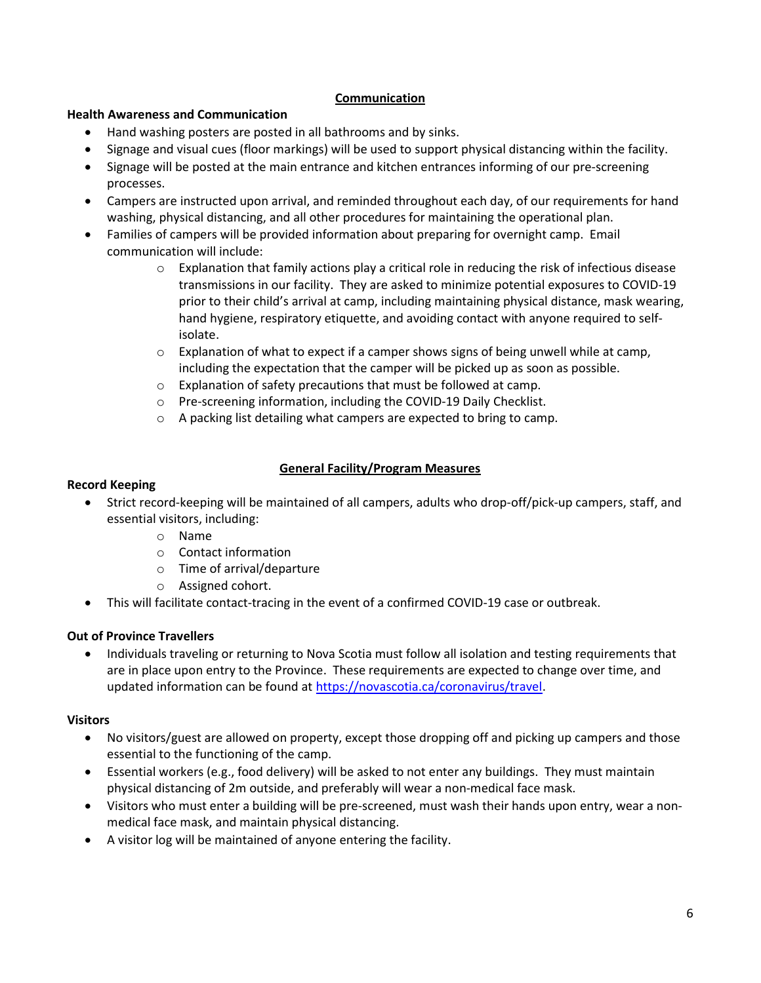### Communication

#### Health Awareness and Communication

- Hand washing posters are posted in all bathrooms and by sinks.
- Signage and visual cues (floor markings) will be used to support physical distancing within the facility.
- Signage will be posted at the main entrance and kitchen entrances informing of our pre-screening processes.
- Campers are instructed upon arrival, and reminded throughout each day, of our requirements for hand washing, physical distancing, and all other procedures for maintaining the operational plan.
- Families of campers will be provided information about preparing for overnight camp. Email communication will include:
	- $\circ$  Explanation that family actions play a critical role in reducing the risk of infectious disease transmissions in our facility. They are asked to minimize potential exposures to COVID-19 prior to their child's arrival at camp, including maintaining physical distance, mask wearing, hand hygiene, respiratory etiquette, and avoiding contact with anyone required to selfisolate.
	- $\circ$  Explanation of what to expect if a camper shows signs of being unwell while at camp, including the expectation that the camper will be picked up as soon as possible.
	- o Explanation of safety precautions that must be followed at camp.
	- o Pre-screening information, including the COVID-19 Daily Checklist.
	- o A packing list detailing what campers are expected to bring to camp.

# General Facility/Program Measures

# Record Keeping

- Strict record-keeping will be maintained of all campers, adults who drop-off/pick-up campers, staff, and essential visitors, including:
	- o Name
	- o Contact information
	- o Time of arrival/departure
	- o Assigned cohort.
- This will facilitate contact-tracing in the event of a confirmed COVID-19 case or outbreak.

# Out of Province Travellers

• Individuals traveling or returning to Nova Scotia must follow all isolation and testing requirements that are in place upon entry to the Province. These requirements are expected to change over time, and updated information can be found at https://novascotia.ca/coronavirus/travel.

# Visitors

- No visitors/guest are allowed on property, except those dropping off and picking up campers and those essential to the functioning of the camp.
- Essential workers (e.g., food delivery) will be asked to not enter any buildings. They must maintain physical distancing of 2m outside, and preferably will wear a non-medical face mask.
- Visitors who must enter a building will be pre-screened, must wash their hands upon entry, wear a nonmedical face mask, and maintain physical distancing.
- A visitor log will be maintained of anyone entering the facility.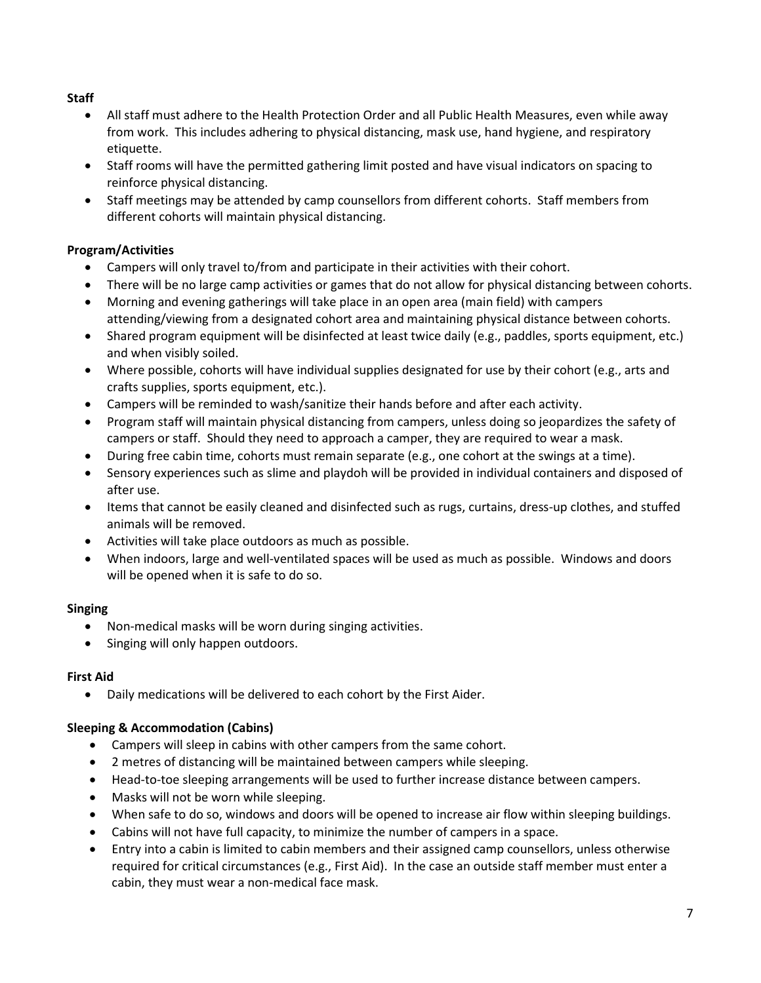# **Staff**

- All staff must adhere to the Health Protection Order and all Public Health Measures, even while away from work. This includes adhering to physical distancing, mask use, hand hygiene, and respiratory etiquette.
- Staff rooms will have the permitted gathering limit posted and have visual indicators on spacing to reinforce physical distancing.
- Staff meetings may be attended by camp counsellors from different cohorts. Staff members from different cohorts will maintain physical distancing.

# Program/Activities

- Campers will only travel to/from and participate in their activities with their cohort.
- There will be no large camp activities or games that do not allow for physical distancing between cohorts.
- Morning and evening gatherings will take place in an open area (main field) with campers attending/viewing from a designated cohort area and maintaining physical distance between cohorts.
- Shared program equipment will be disinfected at least twice daily (e.g., paddles, sports equipment, etc.) and when visibly soiled.
- Where possible, cohorts will have individual supplies designated for use by their cohort (e.g., arts and crafts supplies, sports equipment, etc.).
- Campers will be reminded to wash/sanitize their hands before and after each activity.
- Program staff will maintain physical distancing from campers, unless doing so jeopardizes the safety of campers or staff. Should they need to approach a camper, they are required to wear a mask.
- During free cabin time, cohorts must remain separate (e.g., one cohort at the swings at a time).
- Sensory experiences such as slime and playdoh will be provided in individual containers and disposed of after use.
- Items that cannot be easily cleaned and disinfected such as rugs, curtains, dress-up clothes, and stuffed animals will be removed.
- Activities will take place outdoors as much as possible.
- When indoors, large and well-ventilated spaces will be used as much as possible. Windows and doors will be opened when it is safe to do so.

# Singing

- Non-medical masks will be worn during singing activities.
- Singing will only happen outdoors.

# First Aid

Daily medications will be delivered to each cohort by the First Aider.

# Sleeping & Accommodation (Cabins)

- Campers will sleep in cabins with other campers from the same cohort.
- 2 metres of distancing will be maintained between campers while sleeping.
- Head-to-toe sleeping arrangements will be used to further increase distance between campers.
- Masks will not be worn while sleeping.
- When safe to do so, windows and doors will be opened to increase air flow within sleeping buildings.
- Cabins will not have full capacity, to minimize the number of campers in a space.
- Entry into a cabin is limited to cabin members and their assigned camp counsellors, unless otherwise required for critical circumstances (e.g., First Aid). In the case an outside staff member must enter a cabin, they must wear a non-medical face mask.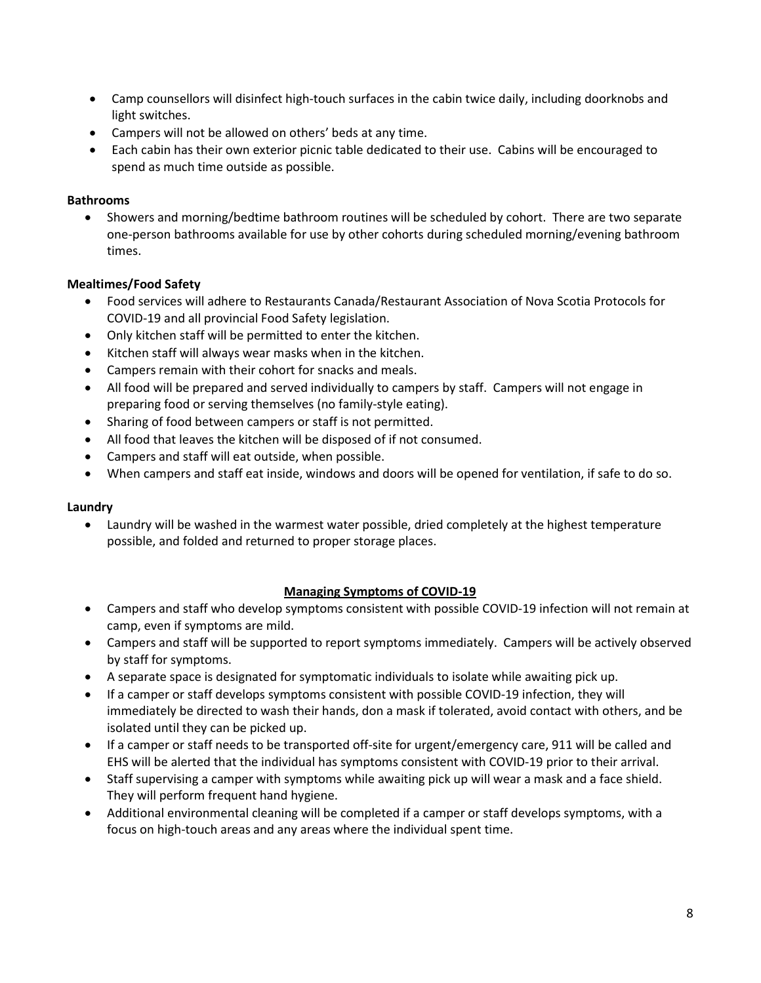- Camp counsellors will disinfect high-touch surfaces in the cabin twice daily, including doorknobs and light switches.
- Campers will not be allowed on others' beds at any time.
- Each cabin has their own exterior picnic table dedicated to their use. Cabins will be encouraged to spend as much time outside as possible.

### Bathrooms

 Showers and morning/bedtime bathroom routines will be scheduled by cohort. There are two separate one-person bathrooms available for use by other cohorts during scheduled morning/evening bathroom times.

### Mealtimes/Food Safety

- Food services will adhere to Restaurants Canada/Restaurant Association of Nova Scotia Protocols for COVID-19 and all provincial Food Safety legislation.
- Only kitchen staff will be permitted to enter the kitchen.
- Kitchen staff will always wear masks when in the kitchen.
- Campers remain with their cohort for snacks and meals.
- All food will be prepared and served individually to campers by staff. Campers will not engage in preparing food or serving themselves (no family-style eating).
- Sharing of food between campers or staff is not permitted.
- All food that leaves the kitchen will be disposed of if not consumed.
- Campers and staff will eat outside, when possible.
- When campers and staff eat inside, windows and doors will be opened for ventilation, if safe to do so.

#### Laundry

 Laundry will be washed in the warmest water possible, dried completely at the highest temperature possible, and folded and returned to proper storage places.

#### Managing Symptoms of COVID-19

- Campers and staff who develop symptoms consistent with possible COVID-19 infection will not remain at camp, even if symptoms are mild.
- Campers and staff will be supported to report symptoms immediately. Campers will be actively observed by staff for symptoms.
- A separate space is designated for symptomatic individuals to isolate while awaiting pick up.
- If a camper or staff develops symptoms consistent with possible COVID-19 infection, they will immediately be directed to wash their hands, don a mask if tolerated, avoid contact with others, and be isolated until they can be picked up.
- If a camper or staff needs to be transported off-site for urgent/emergency care, 911 will be called and EHS will be alerted that the individual has symptoms consistent with COVID-19 prior to their arrival.
- Staff supervising a camper with symptoms while awaiting pick up will wear a mask and a face shield. They will perform frequent hand hygiene.
- Additional environmental cleaning will be completed if a camper or staff develops symptoms, with a focus on high-touch areas and any areas where the individual spent time.